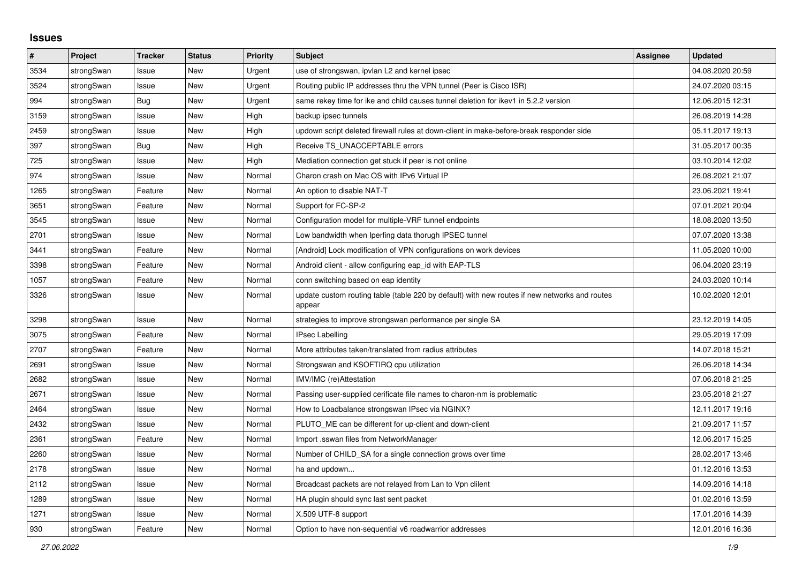## **Issues**

| ∦    | Project    | <b>Tracker</b> | <b>Status</b> | <b>Priority</b> | <b>Subject</b>                                                                                          | Assignee | <b>Updated</b>   |
|------|------------|----------------|---------------|-----------------|---------------------------------------------------------------------------------------------------------|----------|------------------|
| 3534 | strongSwan | Issue          | <b>New</b>    | Urgent          | use of strongswan, ipvlan L2 and kernel ipsec                                                           |          | 04.08.2020 20:59 |
| 3524 | strongSwan | Issue          | <b>New</b>    | Urgent          | Routing public IP addresses thru the VPN tunnel (Peer is Cisco ISR)                                     |          | 24.07.2020 03:15 |
| 994  | strongSwan | Bug            | <b>New</b>    | Urgent          | same rekey time for ike and child causes tunnel deletion for ikev1 in 5.2.2 version                     |          | 12.06.2015 12:31 |
| 3159 | strongSwan | Issue          | New           | High            | backup ipsec tunnels                                                                                    |          | 26.08.2019 14:28 |
| 2459 | strongSwan | Issue          | New           | High            | updown script deleted firewall rules at down-client in make-before-break responder side                 |          | 05.11.2017 19:13 |
| 397  | strongSwan | Bug            | <b>New</b>    | High            | Receive TS UNACCEPTABLE errors                                                                          |          | 31.05.2017 00:35 |
| 725  | strongSwan | Issue          | New           | High            | Mediation connection get stuck if peer is not online                                                    |          | 03.10.2014 12:02 |
| 974  | strongSwan | Issue          | <b>New</b>    | Normal          | Charon crash on Mac OS with IPv6 Virtual IP                                                             |          | 26.08.2021 21:07 |
| 1265 | strongSwan | Feature        | New           | Normal          | An option to disable NAT-T                                                                              |          | 23.06.2021 19:41 |
| 3651 | strongSwan | Feature        | New           | Normal          | Support for FC-SP-2                                                                                     |          | 07.01.2021 20:04 |
| 3545 | strongSwan | Issue          | New           | Normal          | Configuration model for multiple-VRF tunnel endpoints                                                   |          | 18.08.2020 13:50 |
| 2701 | strongSwan | Issue          | <b>New</b>    | Normal          | Low bandwidth when Iperfing data thorugh IPSEC tunnel                                                   |          | 07.07.2020 13:38 |
| 3441 | strongSwan | Feature        | <b>New</b>    | Normal          | [Android] Lock modification of VPN configurations on work devices                                       |          | 11.05.2020 10:00 |
| 3398 | strongSwan | Feature        | New           | Normal          | Android client - allow configuring eap id with EAP-TLS                                                  |          | 06.04.2020 23:19 |
| 1057 | strongSwan | Feature        | New           | Normal          | conn switching based on eap identity                                                                    |          | 24.03.2020 10:14 |
| 3326 | strongSwan | Issue          | New           | Normal          | update custom routing table (table 220 by default) with new routes if new networks and routes<br>appear |          | 10.02.2020 12:01 |
| 3298 | strongSwan | Issue          | <b>New</b>    | Normal          | strategies to improve strongswan performance per single SA                                              |          | 23.12.2019 14:05 |
| 3075 | strongSwan | Feature        | <b>New</b>    | Normal          | <b>IPsec Labelling</b>                                                                                  |          | 29.05.2019 17:09 |
| 2707 | strongSwan | Feature        | New           | Normal          | More attributes taken/translated from radius attributes                                                 |          | 14.07.2018 15:21 |
| 2691 | strongSwan | Issue          | <b>New</b>    | Normal          | Strongswan and KSOFTIRQ cpu utilization                                                                 |          | 26.06.2018 14:34 |
| 2682 | strongSwan | Issue          | <b>New</b>    | Normal          | IMV/IMC (re)Attestation                                                                                 |          | 07.06.2018 21:25 |
| 2671 | strongSwan | Issue          | New           | Normal          | Passing user-supplied cerificate file names to charon-nm is problematic                                 |          | 23.05.2018 21:27 |
| 2464 | strongSwan | Issue          | <b>New</b>    | Normal          | How to Loadbalance strongswan IPsec via NGINX?                                                          |          | 12.11.2017 19:16 |
| 2432 | strongSwan | Issue          | <b>New</b>    | Normal          | PLUTO_ME can be different for up-client and down-client                                                 |          | 21.09.2017 11:57 |
| 2361 | strongSwan | Feature        | New           | Normal          | Import .sswan files from NetworkManager                                                                 |          | 12.06.2017 15:25 |
| 2260 | strongSwan | Issue          | New           | Normal          | Number of CHILD SA for a single connection grows over time                                              |          | 28.02.2017 13:46 |
| 2178 | strongSwan | Issue          | <b>New</b>    | Normal          | ha and updown                                                                                           |          | 01.12.2016 13:53 |
| 2112 | strongSwan | Issue          | <b>New</b>    | Normal          | Broadcast packets are not relayed from Lan to Vpn clilent                                               |          | 14.09.2016 14:18 |
| 1289 | strongSwan | Issue          | New           | Normal          | HA plugin should sync last sent packet                                                                  |          | 01.02.2016 13:59 |
| 1271 | strongSwan | Issue          | New           | Normal          | X.509 UTF-8 support                                                                                     |          | 17.01.2016 14:39 |
| 930  | strongSwan | Feature        | New           | Normal          | Option to have non-sequential v6 roadwarrior addresses                                                  |          | 12.01.2016 16:36 |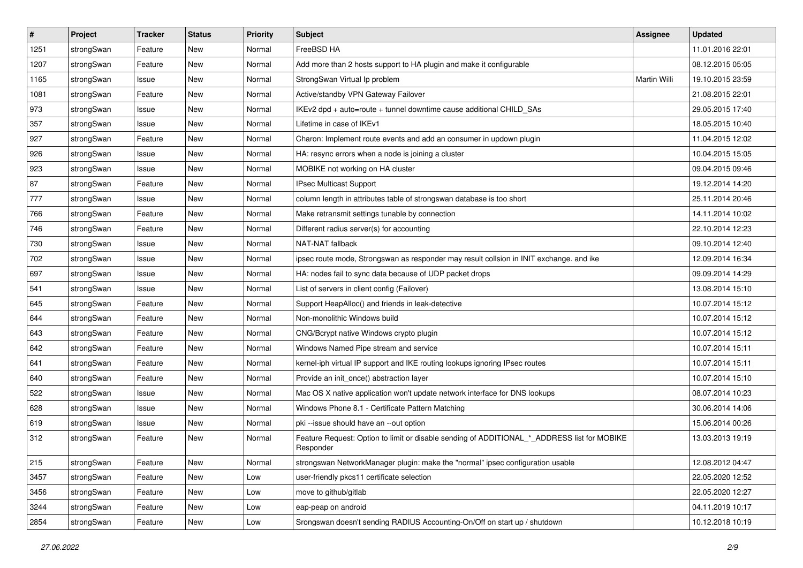| #    | Project    | <b>Tracker</b> | <b>Status</b> | <b>Priority</b> | <b>Subject</b>                                                                                           | <b>Assignee</b> | <b>Updated</b>   |
|------|------------|----------------|---------------|-----------------|----------------------------------------------------------------------------------------------------------|-----------------|------------------|
| 1251 | strongSwan | Feature        | New           | Normal          | FreeBSD HA                                                                                               |                 | 11.01.2016 22:01 |
| 1207 | strongSwan | Feature        | <b>New</b>    | Normal          | Add more than 2 hosts support to HA plugin and make it configurable                                      |                 | 08.12.2015 05:05 |
| 1165 | strongSwan | Issue          | New           | Normal          | StrongSwan Virtual Ip problem                                                                            | Martin Willi    | 19.10.2015 23:59 |
| 1081 | strongSwan | Feature        | New           | Normal          | Active/standby VPN Gateway Failover                                                                      |                 | 21.08.2015 22:01 |
| 973  | strongSwan | Issue          | <b>New</b>    | Normal          | IKEv2 dpd + auto=route + tunnel downtime cause additional CHILD SAs                                      |                 | 29.05.2015 17:40 |
| 357  | strongSwan | Issue          | New           | Normal          | Lifetime in case of IKEv1                                                                                |                 | 18.05.2015 10:40 |
| 927  | strongSwan | Feature        | New           | Normal          | Charon: Implement route events and add an consumer in updown plugin                                      |                 | 11.04.2015 12:02 |
| 926  | strongSwan | Issue          | New           | Normal          | HA: resync errors when a node is joining a cluster                                                       |                 | 10.04.2015 15:05 |
| 923  | strongSwan | Issue          | <b>New</b>    | Normal          | MOBIKE not working on HA cluster                                                                         |                 | 09.04.2015 09:46 |
| 87   | strongSwan | Feature        | <b>New</b>    | Normal          | IPsec Multicast Support                                                                                  |                 | 19.12.2014 14:20 |
| 777  | strongSwan | Issue          | New           | Normal          | column length in attributes table of strongswan database is too short                                    |                 | 25.11.2014 20:46 |
| 766  | strongSwan | Feature        | New           | Normal          | Make retransmit settings tunable by connection                                                           |                 | 14.11.2014 10:02 |
| 746  | strongSwan | Feature        | New           | Normal          | Different radius server(s) for accounting                                                                |                 | 22.10.2014 12:23 |
| 730  | strongSwan | Issue          | New           | Normal          | NAT-NAT fallback                                                                                         |                 | 09.10.2014 12:40 |
| 702  | strongSwan | Issue          | <b>New</b>    | Normal          | ipsec route mode, Strongswan as responder may result collsion in INIT exchange. and ike                  |                 | 12.09.2014 16:34 |
| 697  | strongSwan | Issue          | New           | Normal          | HA: nodes fail to sync data because of UDP packet drops                                                  |                 | 09.09.2014 14:29 |
| 541  | strongSwan | Issue          | New           | Normal          | List of servers in client config (Failover)                                                              |                 | 13.08.2014 15:10 |
| 645  | strongSwan | Feature        | <b>New</b>    | Normal          | Support HeapAlloc() and friends in leak-detective                                                        |                 | 10.07.2014 15:12 |
| 644  | strongSwan | Feature        | New           | Normal          | Non-monolithic Windows build                                                                             |                 | 10.07.2014 15:12 |
| 643  | strongSwan | Feature        | New           | Normal          | CNG/Bcrypt native Windows crypto plugin                                                                  |                 | 10.07.2014 15:12 |
| 642  | strongSwan | Feature        | New           | Normal          | Windows Named Pipe stream and service                                                                    |                 | 10.07.2014 15:11 |
| 641  | strongSwan | Feature        | New           | Normal          | kernel-iph virtual IP support and IKE routing lookups ignoring IPsec routes                              |                 | 10.07.2014 15:11 |
| 640  | strongSwan | Feature        | <b>New</b>    | Normal          | Provide an init_once() abstraction layer                                                                 |                 | 10.07.2014 15:10 |
| 522  | strongSwan | Issue          | New           | Normal          | Mac OS X native application won't update network interface for DNS lookups                               |                 | 08.07.2014 10:23 |
| 628  | strongSwan | Issue          | <b>New</b>    | Normal          | Windows Phone 8.1 - Certificate Pattern Matching                                                         |                 | 30.06.2014 14:06 |
| 619  | strongSwan | Issue          | New           | Normal          | pki --issue should have an --out option                                                                  |                 | 15.06.2014 00:26 |
| 312  | strongSwan | Feature        | New           | Normal          | Feature Request: Option to limit or disable sending of ADDITIONAL_*_ADDRESS list for MOBIKE<br>Responder |                 | 13.03.2013 19:19 |
| 215  | strongSwan | Feature        | New           | Normal          | strongswan NetworkManager plugin: make the "normal" ipsec configuration usable                           |                 | 12.08.2012 04:47 |
| 3457 | strongSwan | Feature        | New           | Low             | user-friendly pkcs11 certificate selection                                                               |                 | 22.05.2020 12:52 |
| 3456 | strongSwan | Feature        | New           | Low             | move to github/gitlab                                                                                    |                 | 22.05.2020 12:27 |
| 3244 | strongSwan | Feature        | New           | Low             | eap-peap on android                                                                                      |                 | 04.11.2019 10:17 |
| 2854 | strongSwan | Feature        | New           | Low             | Srongswan doesn't sending RADIUS Accounting-On/Off on start up / shutdown                                |                 | 10.12.2018 10:19 |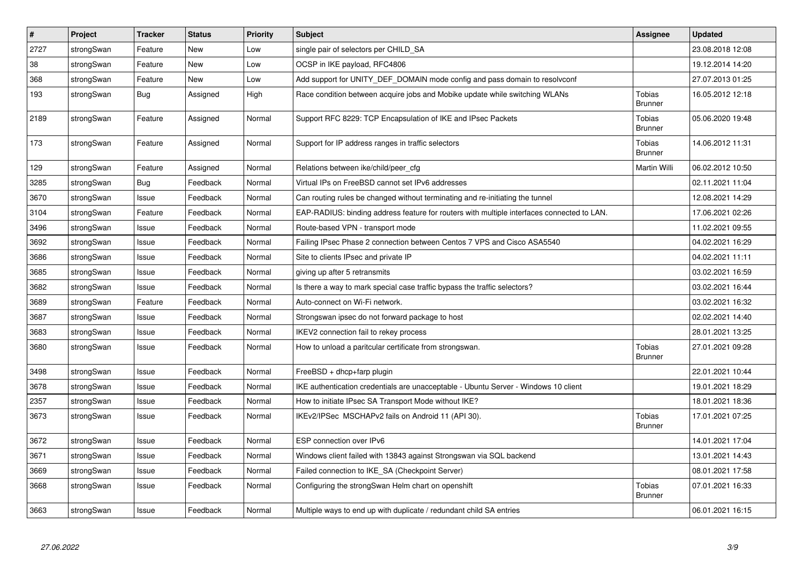| $\vert$ # | Project    | <b>Tracker</b> | <b>Status</b> | Priority | <b>Subject</b>                                                                             | Assignee                        | <b>Updated</b>   |
|-----------|------------|----------------|---------------|----------|--------------------------------------------------------------------------------------------|---------------------------------|------------------|
| 2727      | strongSwan | Feature        | <b>New</b>    | Low      | single pair of selectors per CHILD_SA                                                      |                                 | 23.08.2018 12:08 |
| 38        | strongSwan | Feature        | <b>New</b>    | Low      | OCSP in IKE payload, RFC4806                                                               |                                 | 19.12.2014 14:20 |
| 368       | strongSwan | Feature        | New           | Low      | Add support for UNITY DEF DOMAIN mode config and pass domain to resolvconf                 |                                 | 27.07.2013 01:25 |
| 193       | strongSwan | <b>Bug</b>     | Assigned      | High     | Race condition between acquire jobs and Mobike update while switching WLANs                | <b>Tobias</b><br><b>Brunner</b> | 16.05.2012 12:18 |
| 2189      | strongSwan | Feature        | Assigned      | Normal   | Support RFC 8229: TCP Encapsulation of IKE and IPsec Packets                               | Tobias<br><b>Brunner</b>        | 05.06.2020 19:48 |
| 173       | strongSwan | Feature        | Assigned      | Normal   | Support for IP address ranges in traffic selectors                                         | <b>Tobias</b><br><b>Brunner</b> | 14.06.2012 11:31 |
| 129       | strongSwan | Feature        | Assigned      | Normal   | Relations between ike/child/peer_cfg                                                       | <b>Martin Willi</b>             | 06.02.2012 10:50 |
| 3285      | strongSwan | <b>Bug</b>     | Feedback      | Normal   | Virtual IPs on FreeBSD cannot set IPv6 addresses                                           |                                 | 02.11.2021 11:04 |
| 3670      | strongSwan | Issue          | Feedback      | Normal   | Can routing rules be changed without terminating and re-initiating the tunnel              |                                 | 12.08.2021 14:29 |
| 3104      | strongSwan | Feature        | Feedback      | Normal   | EAP-RADIUS: binding address feature for routers with multiple interfaces connected to LAN. |                                 | 17.06.2021 02:26 |
| 3496      | strongSwan | Issue          | Feedback      | Normal   | Route-based VPN - transport mode                                                           |                                 | 11.02.2021 09:55 |
| 3692      | strongSwan | Issue          | Feedback      | Normal   | Failing IPsec Phase 2 connection between Centos 7 VPS and Cisco ASA5540                    |                                 | 04.02.2021 16:29 |
| 3686      | strongSwan | Issue          | Feedback      | Normal   | Site to clients IPsec and private IP                                                       |                                 | 04.02.2021 11:11 |
| 3685      | strongSwan | Issue          | Feedback      | Normal   | giving up after 5 retransmits                                                              |                                 | 03.02.2021 16:59 |
| 3682      | strongSwan | Issue          | Feedback      | Normal   | Is there a way to mark special case traffic bypass the traffic selectors?                  |                                 | 03.02.2021 16:44 |
| 3689      | strongSwan | Feature        | Feedback      | Normal   | Auto-connect on Wi-Fi network.                                                             |                                 | 03.02.2021 16:32 |
| 3687      | strongSwan | Issue          | Feedback      | Normal   | Strongswan ipsec do not forward package to host                                            |                                 | 02.02.2021 14:40 |
| 3683      | strongSwan | Issue          | Feedback      | Normal   | IKEV2 connection fail to rekey process                                                     |                                 | 28.01.2021 13:25 |
| 3680      | strongSwan | Issue          | Feedback      | Normal   | How to unload a paritcular certificate from strongswan.                                    | Tobias<br><b>Brunner</b>        | 27.01.2021 09:28 |
| 3498      | strongSwan | Issue          | Feedback      | Normal   | FreeBSD + dhcp+farp plugin                                                                 |                                 | 22.01.2021 10:44 |
| 3678      | strongSwan | Issue          | Feedback      | Normal   | IKE authentication credentials are unacceptable - Ubuntu Server - Windows 10 client        |                                 | 19.01.2021 18:29 |
| 2357      | strongSwan | Issue          | Feedback      | Normal   | How to initiate IPsec SA Transport Mode without IKE?                                       |                                 | 18.01.2021 18:36 |
| 3673      | strongSwan | Issue          | Feedback      | Normal   | IKEv2/IPSec MSCHAPv2 fails on Android 11 (API 30).                                         | <b>Tobias</b><br><b>Brunner</b> | 17.01.2021 07:25 |
| 3672      | strongSwan | Issue          | Feedback      | Normal   | ESP connection over IPv6                                                                   |                                 | 14.01.2021 17:04 |
| 3671      | strongSwan | Issue          | Feedback      | Normal   | Windows client failed with 13843 against Strongswan via SQL backend                        |                                 | 13.01.2021 14:43 |
| 3669      | strongSwan | Issue          | Feedback      | Normal   | Failed connection to IKE_SA (Checkpoint Server)                                            |                                 | 08.01.2021 17:58 |
| 3668      | strongSwan | Issue          | Feedback      | Normal   | Configuring the strongSwan Helm chart on openshift                                         | Tobias<br><b>Brunner</b>        | 07.01.2021 16:33 |
| 3663      | strongSwan | Issue          | Feedback      | Normal   | Multiple ways to end up with duplicate / redundant child SA entries                        |                                 | 06.01.2021 16:15 |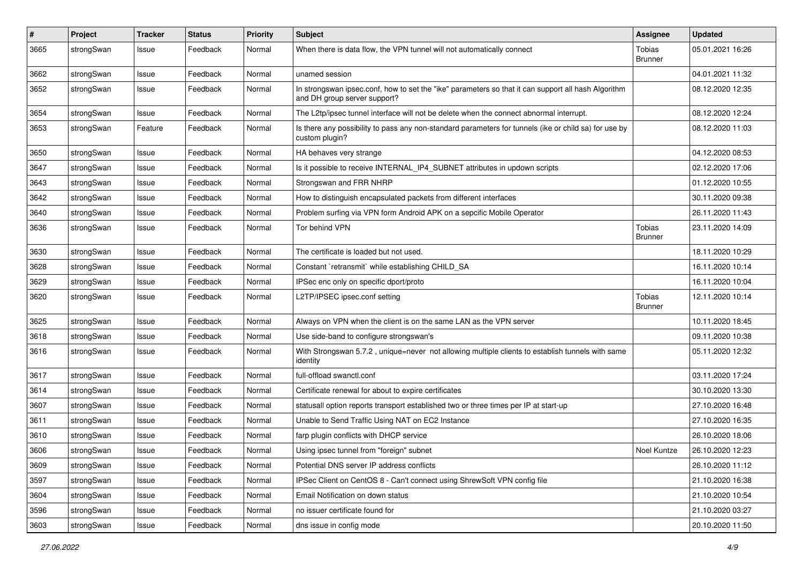| $\sharp$ | Project    | <b>Tracker</b> | <b>Status</b> | <b>Priority</b> | <b>Subject</b>                                                                                                                      | <b>Assignee</b>          | <b>Updated</b>   |
|----------|------------|----------------|---------------|-----------------|-------------------------------------------------------------------------------------------------------------------------------------|--------------------------|------------------|
| 3665     | strongSwan | Issue          | Feedback      | Normal          | When there is data flow, the VPN tunnel will not automatically connect                                                              | Tobias<br><b>Brunner</b> | 05.01.2021 16:26 |
| 3662     | strongSwan | Issue          | Feedback      | Normal          | unamed session                                                                                                                      |                          | 04.01.2021 11:32 |
| 3652     | strongSwan | Issue          | Feedback      | Normal          | In strongswan ipsec.conf, how to set the "ike" parameters so that it can support all hash Algorithm<br>and DH group server support? |                          | 08.12.2020 12:35 |
| 3654     | strongSwan | Issue          | Feedback      | Normal          | The L2tp/ipsec tunnel interface will not be delete when the connect abnormal interrupt.                                             |                          | 08.12.2020 12:24 |
| 3653     | strongSwan | Feature        | Feedback      | Normal          | Is there any possibility to pass any non-standard parameters for tunnels (ike or child sa) for use by<br>custom plugin?             |                          | 08.12.2020 11:03 |
| 3650     | strongSwan | Issue          | Feedback      | Normal          | HA behaves very strange                                                                                                             |                          | 04.12.2020 08:53 |
| 3647     | strongSwan | Issue          | Feedback      | Normal          | Is it possible to receive INTERNAL_IP4_SUBNET attributes in updown scripts                                                          |                          | 02.12.2020 17:06 |
| 3643     | strongSwan | Issue          | Feedback      | Normal          | Strongswan and FRR NHRP                                                                                                             |                          | 01.12.2020 10:55 |
| 3642     | strongSwan | Issue          | Feedback      | Normal          | How to distinguish encapsulated packets from different interfaces                                                                   |                          | 30.11.2020 09:38 |
| 3640     | strongSwan | Issue          | Feedback      | Normal          | Problem surfing via VPN form Android APK on a sepcific Mobile Operator                                                              |                          | 26.11.2020 11:43 |
| 3636     | strongSwan | Issue          | Feedback      | Normal          | Tor behind VPN                                                                                                                      | Tobias<br><b>Brunner</b> | 23.11.2020 14:09 |
| 3630     | strongSwan | Issue          | Feedback      | Normal          | The certificate is loaded but not used.                                                                                             |                          | 18.11.2020 10:29 |
| 3628     | strongSwan | Issue          | Feedback      | Normal          | Constant `retransmit` while establishing CHILD_SA                                                                                   |                          | 16.11.2020 10:14 |
| 3629     | strongSwan | Issue          | Feedback      | Normal          | IPSec enc only on specific dport/proto                                                                                              |                          | 16.11.2020 10:04 |
| 3620     | strongSwan | Issue          | Feedback      | Normal          | L2TP/IPSEC ipsec.conf setting                                                                                                       | Tobias<br><b>Brunner</b> | 12.11.2020 10:14 |
| 3625     | strongSwan | Issue          | Feedback      | Normal          | Always on VPN when the client is on the same LAN as the VPN server                                                                  |                          | 10.11.2020 18:45 |
| 3618     | strongSwan | Issue          | Feedback      | Normal          | Use side-band to configure strongswan's                                                                                             |                          | 09.11.2020 10:38 |
| 3616     | strongSwan | Issue          | Feedback      | Normal          | With Strongswan 5.7.2, unique=never not allowing multiple clients to establish tunnels with same<br>identity                        |                          | 05.11.2020 12:32 |
| 3617     | strongSwan | Issue          | Feedback      | Normal          | full-offload swanctl.conf                                                                                                           |                          | 03.11.2020 17:24 |
| 3614     | strongSwan | Issue          | Feedback      | Normal          | Certificate renewal for about to expire certificates                                                                                |                          | 30.10.2020 13:30 |
| 3607     | strongSwan | Issue          | Feedback      | Normal          | statusall option reports transport established two or three times per IP at start-up                                                |                          | 27.10.2020 16:48 |
| 3611     | strongSwan | Issue          | Feedback      | Normal          | Unable to Send Traffic Using NAT on EC2 Instance                                                                                    |                          | 27.10.2020 16:35 |
| 3610     | strongSwan | Issue          | Feedback      | Normal          | farp plugin conflicts with DHCP service                                                                                             |                          | 26.10.2020 18:06 |
| 3606     | strongSwan | Issue          | Feedback      | Normal          | Using ipsec tunnel from "foreign" subnet                                                                                            | Noel Kuntze              | 26.10.2020 12:23 |
| 3609     | strongSwan | Issue          | Feedback      | Normal          | Potential DNS server IP address conflicts                                                                                           |                          | 26.10.2020 11:12 |
| 3597     | strongSwan | Issue          | Feedback      | Normal          | IPSec Client on CentOS 8 - Can't connect using ShrewSoft VPN config file                                                            |                          | 21.10.2020 16:38 |
| 3604     | strongSwan | Issue          | Feedback      | Normal          | Email Notification on down status                                                                                                   |                          | 21.10.2020 10:54 |
| 3596     | strongSwan | Issue          | Feedback      | Normal          | no issuer certificate found for                                                                                                     |                          | 21.10.2020 03:27 |
| 3603     | strongSwan | Issue          | Feedback      | Normal          | dns issue in config mode                                                                                                            |                          | 20.10.2020 11:50 |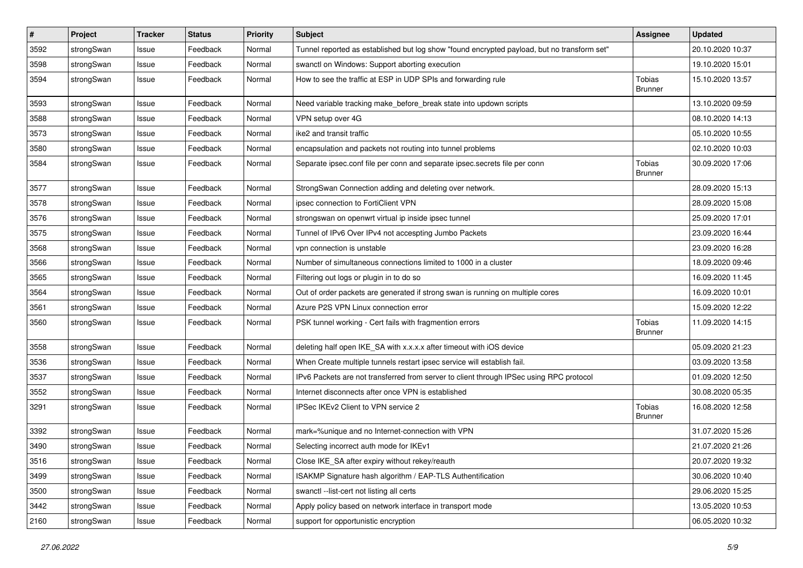| $\vert$ # | Project    | <b>Tracker</b> | <b>Status</b> | <b>Priority</b> | <b>Subject</b>                                                                              | <b>Assignee</b>          | <b>Updated</b>   |
|-----------|------------|----------------|---------------|-----------------|---------------------------------------------------------------------------------------------|--------------------------|------------------|
| 3592      | strongSwan | Issue          | Feedback      | Normal          | Tunnel reported as established but log show "found encrypted payload, but no transform set" |                          | 20.10.2020 10:37 |
| 3598      | strongSwan | Issue          | Feedback      | Normal          | swanctl on Windows: Support aborting execution                                              |                          | 19.10.2020 15:01 |
| 3594      | strongSwan | Issue          | Feedback      | Normal          | How to see the traffic at ESP in UDP SPIs and forwarding rule                               | Tobias<br><b>Brunner</b> | 15.10.2020 13:57 |
| 3593      | strongSwan | Issue          | Feedback      | Normal          | Need variable tracking make_before_break state into updown scripts                          |                          | 13.10.2020 09:59 |
| 3588      | strongSwan | Issue          | Feedback      | Normal          | VPN setup over 4G                                                                           |                          | 08.10.2020 14:13 |
| 3573      | strongSwan | Issue          | Feedback      | Normal          | ike2 and transit traffic                                                                    |                          | 05.10.2020 10:55 |
| 3580      | strongSwan | Issue          | Feedback      | Normal          | encapsulation and packets not routing into tunnel problems                                  |                          | 02.10.2020 10:03 |
| 3584      | strongSwan | Issue          | Feedback      | Normal          | Separate ipsec.conf file per conn and separate ipsec.secrets file per conn                  | Tobias<br><b>Brunner</b> | 30.09.2020 17:06 |
| 3577      | strongSwan | Issue          | Feedback      | Normal          | StrongSwan Connection adding and deleting over network.                                     |                          | 28.09.2020 15:13 |
| 3578      | strongSwan | Issue          | Feedback      | Normal          | ipsec connection to FortiClient VPN                                                         |                          | 28.09.2020 15:08 |
| 3576      | strongSwan | Issue          | Feedback      | Normal          | strongswan on openwrt virtual ip inside ipsec tunnel                                        |                          | 25.09.2020 17:01 |
| 3575      | strongSwan | Issue          | Feedback      | Normal          | Tunnel of IPv6 Over IPv4 not accespting Jumbo Packets                                       |                          | 23.09.2020 16:44 |
| 3568      | strongSwan | Issue          | Feedback      | Normal          | vpn connection is unstable                                                                  |                          | 23.09.2020 16:28 |
| 3566      | strongSwan | Issue          | Feedback      | Normal          | Number of simultaneous connections limited to 1000 in a cluster                             |                          | 18.09.2020 09:46 |
| 3565      | strongSwan | Issue          | Feedback      | Normal          | Filtering out logs or plugin in to do so                                                    |                          | 16.09.2020 11:45 |
| 3564      | strongSwan | Issue          | Feedback      | Normal          | Out of order packets are generated if strong swan is running on multiple cores              |                          | 16.09.2020 10:01 |
| 3561      | strongSwan | Issue          | Feedback      | Normal          | Azure P2S VPN Linux connection error                                                        |                          | 15.09.2020 12:22 |
| 3560      | strongSwan | Issue          | Feedback      | Normal          | PSK tunnel working - Cert fails with fragmention errors                                     | Tobias<br><b>Brunner</b> | 11.09.2020 14:15 |
| 3558      | strongSwan | Issue          | Feedback      | Normal          | deleting half open IKE_SA with x.x.x.x after timeout with iOS device                        |                          | 05.09.2020 21:23 |
| 3536      | strongSwan | Issue          | Feedback      | Normal          | When Create multiple tunnels restart ipsec service will establish fail.                     |                          | 03.09.2020 13:58 |
| 3537      | strongSwan | Issue          | Feedback      | Normal          | IPv6 Packets are not transferred from server to client through IPSec using RPC protocol     |                          | 01.09.2020 12:50 |
| 3552      | strongSwan | Issue          | Feedback      | Normal          | Internet disconnects after once VPN is established                                          |                          | 30.08.2020 05:35 |
| 3291      | strongSwan | Issue          | Feedback      | Normal          | IPSec IKEv2 Client to VPN service 2                                                         | Tobias<br>Brunner        | 16.08.2020 12:58 |
| 3392      | strongSwan | Issue          | Feedback      | Normal          | mark=%unique and no Internet-connection with VPN                                            |                          | 31.07.2020 15:26 |
| 3490      | strongSwan | Issue          | Feedback      | Normal          | Selecting incorrect auth mode for IKEv1                                                     |                          | 21.07.2020 21:26 |
| 3516      | strongSwan | Issue          | Feedback      | Normal          | Close IKE_SA after expiry without rekey/reauth                                              |                          | 20.07.2020 19:32 |
| 3499      | strongSwan | Issue          | Feedback      | Normal          | ISAKMP Signature hash algorithm / EAP-TLS Authentification                                  |                          | 30.06.2020 10:40 |
| 3500      | strongSwan | Issue          | Feedback      | Normal          | swanctl --list-cert not listing all certs                                                   |                          | 29.06.2020 15:25 |
| 3442      | strongSwan | Issue          | Feedback      | Normal          | Apply policy based on network interface in transport mode                                   |                          | 13.05.2020 10:53 |
| 2160      | strongSwan | Issue          | Feedback      | Normal          | support for opportunistic encryption                                                        |                          | 06.05.2020 10:32 |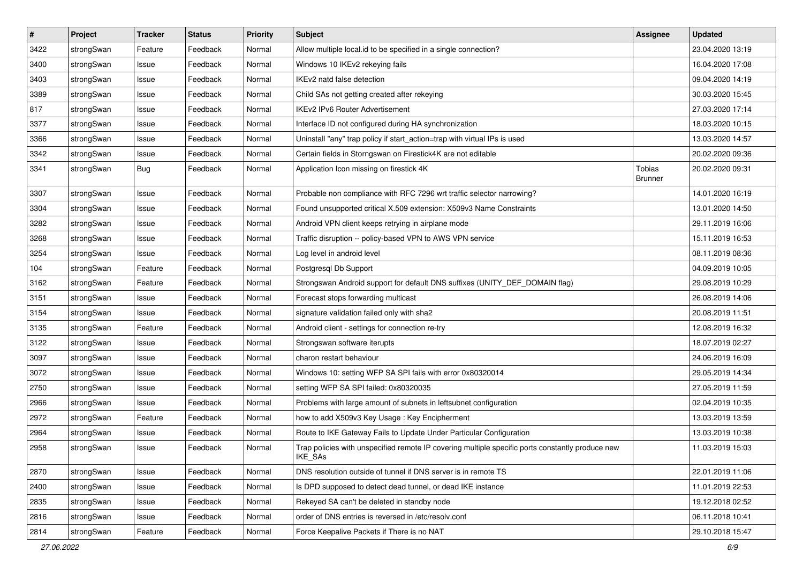| $\sharp$ | Project    | <b>Tracker</b> | <b>Status</b> | <b>Priority</b> | <b>Subject</b>                                                                                              | Assignee          | <b>Updated</b>   |
|----------|------------|----------------|---------------|-----------------|-------------------------------------------------------------------------------------------------------------|-------------------|------------------|
| 3422     | strongSwan | Feature        | Feedback      | Normal          | Allow multiple local id to be specified in a single connection?                                             |                   | 23.04.2020 13:19 |
| 3400     | strongSwan | Issue          | Feedback      | Normal          | Windows 10 IKEv2 rekeying fails                                                                             |                   | 16.04.2020 17:08 |
| 3403     | strongSwan | Issue          | Feedback      | Normal          | IKEv2 natd false detection                                                                                  |                   | 09.04.2020 14:19 |
| 3389     | strongSwan | Issue          | Feedback      | Normal          | Child SAs not getting created after rekeying                                                                |                   | 30.03.2020 15:45 |
| 817      | strongSwan | Issue          | Feedback      | Normal          | <b>IKEv2 IPv6 Router Advertisement</b>                                                                      |                   | 27.03.2020 17:14 |
| 3377     | strongSwan | Issue          | Feedback      | Normal          | Interface ID not configured during HA synchronization                                                       |                   | 18.03.2020 10:15 |
| 3366     | strongSwan | Issue          | Feedback      | Normal          | Uninstall "any" trap policy if start_action=trap with virtual IPs is used                                   |                   | 13.03.2020 14:57 |
| 3342     | strongSwan | Issue          | Feedback      | Normal          | Certain fields in Storngswan on Firestick4K are not editable                                                |                   | 20.02.2020 09:36 |
| 3341     | strongSwan | Bug            | Feedback      | Normal          | Application Icon missing on firestick 4K                                                                    | Tobias<br>Brunner | 20.02.2020 09:31 |
| 3307     | strongSwan | Issue          | Feedback      | Normal          | Probable non compliance with RFC 7296 wrt traffic selector narrowing?                                       |                   | 14.01.2020 16:19 |
| 3304     | strongSwan | Issue          | Feedback      | Normal          | Found unsupported critical X.509 extension: X509v3 Name Constraints                                         |                   | 13.01.2020 14:50 |
| 3282     | strongSwan | Issue          | Feedback      | Normal          | Android VPN client keeps retrying in airplane mode                                                          |                   | 29.11.2019 16:06 |
| 3268     | strongSwan | Issue          | Feedback      | Normal          | Traffic disruption -- policy-based VPN to AWS VPN service                                                   |                   | 15.11.2019 16:53 |
| 3254     | strongSwan | Issue          | Feedback      | Normal          | Log level in android level                                                                                  |                   | 08.11.2019 08:36 |
| 104      | strongSwan | Feature        | Feedback      | Normal          | Postgresql Db Support                                                                                       |                   | 04.09.2019 10:05 |
| 3162     | strongSwan | Feature        | Feedback      | Normal          | Strongswan Android support for default DNS suffixes (UNITY_DEF_DOMAIN flag)                                 |                   | 29.08.2019 10:29 |
| 3151     | strongSwan | Issue          | Feedback      | Normal          | Forecast stops forwarding multicast                                                                         |                   | 26.08.2019 14:06 |
| 3154     | strongSwan | Issue          | Feedback      | Normal          | signature validation failed only with sha2                                                                  |                   | 20.08.2019 11:51 |
| 3135     | strongSwan | Feature        | Feedback      | Normal          | Android client - settings for connection re-try                                                             |                   | 12.08.2019 16:32 |
| 3122     | strongSwan | Issue          | Feedback      | Normal          | Strongswan software iterupts                                                                                |                   | 18.07.2019 02:27 |
| 3097     | strongSwan | Issue          | Feedback      | Normal          | charon restart behaviour                                                                                    |                   | 24.06.2019 16:09 |
| 3072     | strongSwan | Issue          | Feedback      | Normal          | Windows 10: setting WFP SA SPI fails with error 0x80320014                                                  |                   | 29.05.2019 14:34 |
| 2750     | strongSwan | Issue          | Feedback      | Normal          | setting WFP SA SPI failed: 0x80320035                                                                       |                   | 27.05.2019 11:59 |
| 2966     | strongSwan | Issue          | Feedback      | Normal          | Problems with large amount of subnets in leftsubnet configuration                                           |                   | 02.04.2019 10:35 |
| 2972     | strongSwan | Feature        | Feedback      | Normal          | how to add X509v3 Key Usage: Key Encipherment                                                               |                   | 13.03.2019 13:59 |
| 2964     | strongSwan | Issue          | Feedback      | Normal          | Route to IKE Gateway Fails to Update Under Particular Configuration                                         |                   | 13.03.2019 10:38 |
| 2958     | strongSwan | Issue          | Feedback      | Normal          | Trap policies with unspecified remote IP covering multiple specific ports constantly produce new<br>IKE_SAs |                   | 11.03.2019 15:03 |
| 2870     | strongSwan | Issue          | Feedback      | Normal          | DNS resolution outside of tunnel if DNS server is in remote TS                                              |                   | 22.01.2019 11:06 |
| 2400     | strongSwan | Issue          | Feedback      | Normal          | Is DPD supposed to detect dead tunnel, or dead IKE instance                                                 |                   | 11.01.2019 22:53 |
| 2835     | strongSwan | Issue          | Feedback      | Normal          | Rekeyed SA can't be deleted in standby node                                                                 |                   | 19.12.2018 02:52 |
| 2816     | strongSwan | Issue          | Feedback      | Normal          | order of DNS entries is reversed in /etc/resolv.conf                                                        |                   | 06.11.2018 10:41 |
| 2814     | strongSwan | Feature        | Feedback      | Normal          | Force Keepalive Packets if There is no NAT                                                                  |                   | 29.10.2018 15:47 |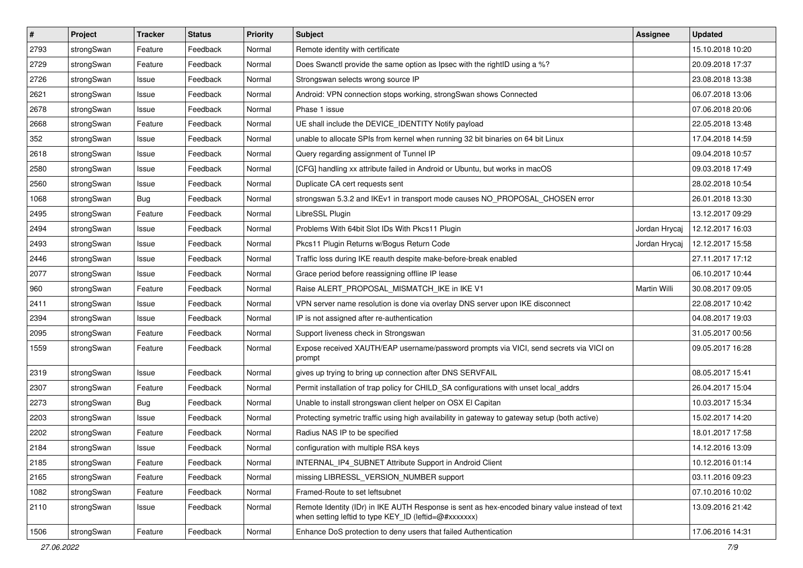| $\vert$ # | Project    | <b>Tracker</b> | <b>Status</b> | <b>Priority</b> | Subject                                                                                                                                                 | <b>Assignee</b> | <b>Updated</b>   |
|-----------|------------|----------------|---------------|-----------------|---------------------------------------------------------------------------------------------------------------------------------------------------------|-----------------|------------------|
| 2793      | strongSwan | Feature        | Feedback      | Normal          | Remote identity with certificate                                                                                                                        |                 | 15.10.2018 10:20 |
| 2729      | strongSwan | Feature        | Feedback      | Normal          | Does Swanctl provide the same option as Ipsec with the rightID using a %?                                                                               |                 | 20.09.2018 17:37 |
| 2726      | strongSwan | Issue          | Feedback      | Normal          | Strongswan selects wrong source IP                                                                                                                      |                 | 23.08.2018 13:38 |
| 2621      | strongSwan | Issue          | Feedback      | Normal          | Android: VPN connection stops working, strongSwan shows Connected                                                                                       |                 | 06.07.2018 13:06 |
| 2678      | strongSwan | Issue          | Feedback      | Normal          | Phase 1 issue                                                                                                                                           |                 | 07.06.2018 20:06 |
| 2668      | strongSwan | Feature        | Feedback      | Normal          | UE shall include the DEVICE_IDENTITY Notify payload                                                                                                     |                 | 22.05.2018 13:48 |
| 352       | strongSwan | Issue          | Feedback      | Normal          | unable to allocate SPIs from kernel when running 32 bit binaries on 64 bit Linux                                                                        |                 | 17.04.2018 14:59 |
| 2618      | strongSwan | Issue          | Feedback      | Normal          | Query regarding assignment of Tunnel IP                                                                                                                 |                 | 09.04.2018 10:57 |
| 2580      | strongSwan | Issue          | Feedback      | Normal          | [CFG] handling xx attribute failed in Android or Ubuntu, but works in macOS                                                                             |                 | 09.03.2018 17:49 |
| 2560      | strongSwan | Issue          | Feedback      | Normal          | Duplicate CA cert requests sent                                                                                                                         |                 | 28.02.2018 10:54 |
| 1068      | strongSwan | Bug            | Feedback      | Normal          | strongswan 5.3.2 and IKEv1 in transport mode causes NO_PROPOSAL_CHOSEN error                                                                            |                 | 26.01.2018 13:30 |
| 2495      | strongSwan | Feature        | Feedback      | Normal          | LibreSSL Plugin                                                                                                                                         |                 | 13.12.2017 09:29 |
| 2494      | strongSwan | Issue          | Feedback      | Normal          | Problems With 64bit Slot IDs With Pkcs11 Plugin                                                                                                         | Jordan Hrycaj   | 12.12.2017 16:03 |
| 2493      | strongSwan | Issue          | Feedback      | Normal          | Pkcs11 Plugin Returns w/Bogus Return Code                                                                                                               | Jordan Hrycaj   | 12.12.2017 15:58 |
| 2446      | strongSwan | Issue          | Feedback      | Normal          | Traffic loss during IKE reauth despite make-before-break enabled                                                                                        |                 | 27.11.2017 17:12 |
| 2077      | strongSwan | Issue          | Feedback      | Normal          | Grace period before reassigning offline IP lease                                                                                                        |                 | 06.10.2017 10:44 |
| 960       | strongSwan | Feature        | Feedback      | Normal          | Raise ALERT_PROPOSAL_MISMATCH_IKE in IKE V1                                                                                                             | Martin Willi    | 30.08.2017 09:05 |
| 2411      | strongSwan | Issue          | Feedback      | Normal          | VPN server name resolution is done via overlay DNS server upon IKE disconnect                                                                           |                 | 22.08.2017 10:42 |
| 2394      | strongSwan | Issue          | Feedback      | Normal          | IP is not assigned after re-authentication                                                                                                              |                 | 04.08.2017 19:03 |
| 2095      | strongSwan | Feature        | Feedback      | Normal          | Support liveness check in Strongswan                                                                                                                    |                 | 31.05.2017 00:56 |
| 1559      | strongSwan | Feature        | Feedback      | Normal          | Expose received XAUTH/EAP username/password prompts via VICI, send secrets via VICI on<br>prompt                                                        |                 | 09.05.2017 16:28 |
| 2319      | strongSwan | Issue          | Feedback      | Normal          | gives up trying to bring up connection after DNS SERVFAIL                                                                                               |                 | 08.05.2017 15:41 |
| 2307      | strongSwan | Feature        | Feedback      | Normal          | Permit installation of trap policy for CHILD_SA configurations with unset local_addrs                                                                   |                 | 26.04.2017 15:04 |
| 2273      | strongSwan | <b>Bug</b>     | Feedback      | Normal          | Unable to install strongswan client helper on OSX El Capitan                                                                                            |                 | 10.03.2017 15:34 |
| 2203      | strongSwan | Issue          | Feedback      | Normal          | Protecting symetric traffic using high availability in gateway to gateway setup (both active)                                                           |                 | 15.02.2017 14:20 |
| 2202      | strongSwan | Feature        | Feedback      | Normal          | Radius NAS IP to be specified                                                                                                                           |                 | 18.01.2017 17:58 |
| 2184      | strongSwan | Issue          | Feedback      | Normal          | configuration with multiple RSA keys                                                                                                                    |                 | 14.12.2016 13:09 |
| 2185      | strongSwan | Feature        | Feedback      | Normal          | INTERNAL IP4 SUBNET Attribute Support in Android Client                                                                                                 |                 | 10.12.2016 01:14 |
| 2165      | strongSwan | Feature        | Feedback      | Normal          | missing LIBRESSL_VERSION_NUMBER support                                                                                                                 |                 | 03.11.2016 09:23 |
| 1082      | strongSwan | Feature        | Feedback      | Normal          | Framed-Route to set leftsubnet                                                                                                                          |                 | 07.10.2016 10:02 |
| 2110      | strongSwan | Issue          | Feedback      | Normal          | Remote Identity (IDr) in IKE AUTH Response is sent as hex-encoded binary value instead of text<br>when setting leftid to type KEY_ID (leftid=@#xxxxxxx) |                 | 13.09.2016 21:42 |
| 1506      | strongSwan | Feature        | Feedback      | Normal          | Enhance DoS protection to deny users that failed Authentication                                                                                         |                 | 17.06.2016 14:31 |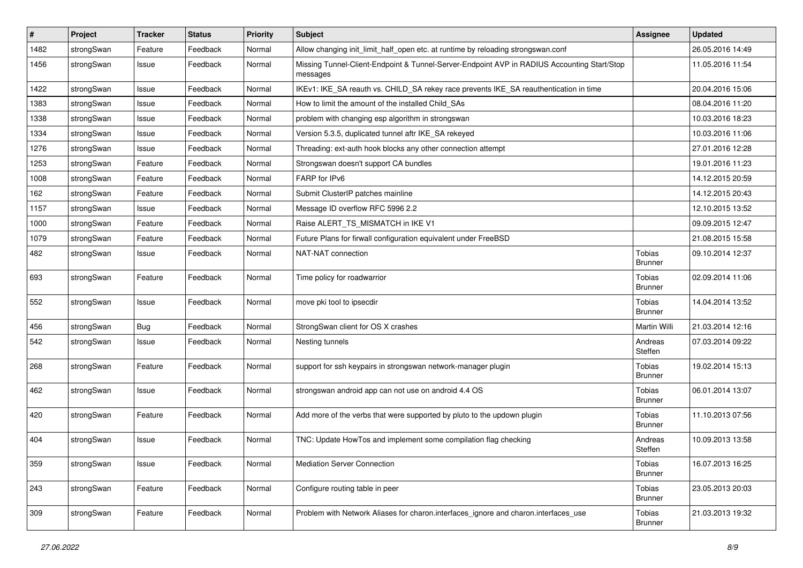| $\sharp$ | Project    | <b>Tracker</b> | <b>Status</b> | Priority | <b>Subject</b>                                                                                          | <b>Assignee</b>                 | <b>Updated</b>   |
|----------|------------|----------------|---------------|----------|---------------------------------------------------------------------------------------------------------|---------------------------------|------------------|
| 1482     | strongSwan | Feature        | Feedback      | Normal   | Allow changing init_limit_half_open etc. at runtime by reloading strongswan.conf                        |                                 | 26.05.2016 14:49 |
| 1456     | strongSwan | Issue          | Feedback      | Normal   | Missing Tunnel-Client-Endpoint & Tunnel-Server-Endpoint AVP in RADIUS Accounting Start/Stop<br>messages |                                 | 11.05.2016 11:54 |
| 1422     | strongSwan | Issue          | Feedback      | Normal   | IKEv1: IKE_SA reauth vs. CHILD_SA rekey race prevents IKE_SA reauthentication in time                   |                                 | 20.04.2016 15:06 |
| 1383     | strongSwan | Issue          | Feedback      | Normal   | How to limit the amount of the installed Child_SAs                                                      |                                 | 08.04.2016 11:20 |
| 1338     | strongSwan | Issue          | Feedback      | Normal   | problem with changing esp algorithm in strongswan                                                       |                                 | 10.03.2016 18:23 |
| 1334     | strongSwan | Issue          | Feedback      | Normal   | Version 5.3.5, duplicated tunnel aftr IKE_SA rekeyed                                                    |                                 | 10.03.2016 11:06 |
| 1276     | strongSwan | Issue          | Feedback      | Normal   | Threading: ext-auth hook blocks any other connection attempt                                            |                                 | 27.01.2016 12:28 |
| 1253     | strongSwan | Feature        | Feedback      | Normal   | Strongswan doesn't support CA bundles                                                                   |                                 | 19.01.2016 11:23 |
| 1008     | strongSwan | Feature        | Feedback      | Normal   | FARP for IPv6                                                                                           |                                 | 14.12.2015 20:59 |
| 162      | strongSwan | Feature        | Feedback      | Normal   | Submit ClusterIP patches mainline                                                                       |                                 | 14.12.2015 20:43 |
| 1157     | strongSwan | Issue          | Feedback      | Normal   | Message ID overflow RFC 5996 2.2                                                                        |                                 | 12.10.2015 13:52 |
| 1000     | strongSwan | Feature        | Feedback      | Normal   | Raise ALERT_TS_MISMATCH in IKE V1                                                                       |                                 | 09.09.2015 12:47 |
| 1079     | strongSwan | Feature        | Feedback      | Normal   | Future Plans for firwall configuration equivalent under FreeBSD                                         |                                 | 21.08.2015 15:58 |
| 482      | strongSwan | Issue          | Feedback      | Normal   | NAT-NAT connection                                                                                      | Tobias<br><b>Brunner</b>        | 09.10.2014 12:37 |
| 693      | strongSwan | Feature        | Feedback      | Normal   | Time policy for roadwarrior                                                                             | Tobias<br><b>Brunner</b>        | 02.09.2014 11:06 |
| 552      | strongSwan | Issue          | Feedback      | Normal   | move pki tool to ipsecdir                                                                               | Tobias<br><b>Brunner</b>        | 14.04.2014 13:52 |
| 456      | strongSwan | <b>Bug</b>     | Feedback      | Normal   | StrongSwan client for OS X crashes                                                                      | Martin Willi                    | 21.03.2014 12:16 |
| 542      | strongSwan | Issue          | Feedback      | Normal   | Nesting tunnels                                                                                         | Andreas<br>Steffen              | 07.03.2014 09:22 |
| 268      | strongSwan | Feature        | Feedback      | Normal   | support for ssh keypairs in strongswan network-manager plugin                                           | Tobias<br><b>Brunner</b>        | 19.02.2014 15:13 |
| 462      | strongSwan | Issue          | Feedback      | Normal   | strongswan android app can not use on android 4.4 OS                                                    | Tobias<br><b>Brunner</b>        | 06.01.2014 13:07 |
| 420      | strongSwan | Feature        | Feedback      | Normal   | Add more of the verbs that were supported by pluto to the updown plugin                                 | Tobias<br><b>Brunner</b>        | 11.10.2013 07:56 |
| 404      | strongSwan | Issue          | Feedback      | Normal   | TNC: Update HowTos and implement some compilation flag checking                                         | Andreas<br>Steffen              | 10.09.2013 13:58 |
| 359      | strongSwan | Issue          | Feedback      | Normal   | Mediation Server Connection                                                                             | <b>Tobias</b><br><b>Brunner</b> | 16.07.2013 16:25 |
| 243      | strongSwan | Feature        | Feedback      | Normal   | Configure routing table in peer                                                                         | Tobias<br><b>Brunner</b>        | 23.05.2013 20:03 |
| 309      | strongSwan | Feature        | Feedback      | Normal   | Problem with Network Aliases for charon.interfaces_ignore and charon.interfaces_use                     | Tobias<br><b>Brunner</b>        | 21.03.2013 19:32 |